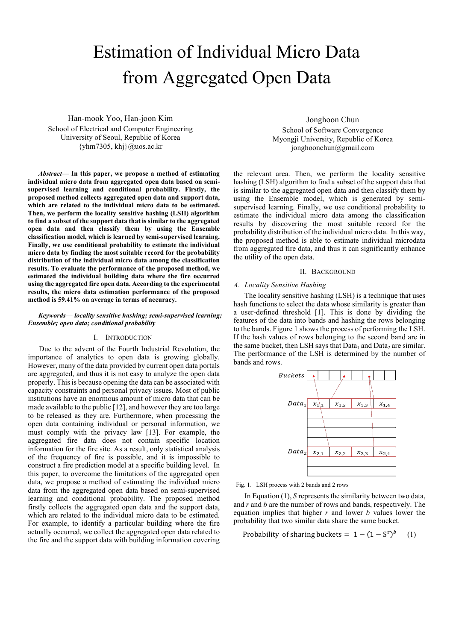# Estimation of Individual Micro Data from Aggregated Open Data

Han-mook Yoo, Han-joon Kim School of Electrical and Computer Engineering University of Seoul, Republic of Korea  $\{\text{yhm}7305, \text{kh}\}$ @uos.ac.kr

*Abstract***— In this paper, we propose a method of estimating individual micro data from aggregated open data based on semisupervised learning and conditional probability. Firstly, the proposed method collects aggregated open data and support data, which are related to the individual micro data to be estimated. Then, we perform the locality sensitive hashing (LSH) algorithm to find a subset of the support data that is similar to the aggregated open data and then classify them by using the Ensemble classification model, which is learned by semi-supervised learning. Finally, we use conditional probability to estimate the individual micro data by finding the most suitable record for the probability distribution of the individual micro data among the classification results. To evaluate the performance of the proposed method, we estimated the individual building data where the fire occurred using the aggregated fire open data. According to the experimental results, the micro data estimation performance of the proposed method is 59.41% on average in terms of accuracy.**

#### *Keywords— locality sensitive hashing; semi-supervised learning; Ensemble; open data; conditional probability*

#### I. INTRODUCTION

Due to the advent of the Fourth Industrial Revolution, the importance of analytics to open data is growing globally. However, many of the data provided by current open data portals are aggregated, and thus it is not easy to analyze the open data properly. This is because opening the data can be associated with capacity constraints and personal privacy issues. Most of public institutions have an enormous amount of micro data that can be made available to the public [12], and however they are too large to be released as they are. Furthermore, when processing the open data containing individual or personal information, we must comply with the privacy law [13]. For example, the aggregated fire data does not contain specific location information for the fire site. As a result, only statistical analysis of the frequency of fire is possible, and it is impossible to construct a fire prediction model at a specific building level. In this paper, to overcome the limitations of the aggregated open data, we propose a method of estimating the individual micro data from the aggregated open data based on semi-supervised learning and conditional probability. The proposed method firstly collects the aggregated open data and the support data, which are related to the individual micro data to be estimated. For example, to identify a particular building where the fire actually occurred, we collect the aggregated open data related to the fire and the support data with building information covering

Jonghoon Chun School of Software Convergence Myongji University, Republic of Korea jonghoonchun@gmail.com

the relevant area. Then, we perform the locality sensitive hashing (LSH) algorithm to find a subset of the support data that is similar to the aggregated open data and then classify them by using the Ensemble model, which is generated by semisupervised learning. Finally, we use conditional probability to estimate the individual micro data among the classification results by discovering the most suitable record for the probability distribution of the individual micro data. In this way, the proposed method is able to estimate individual microdata from aggregated fire data, and thus it can significantly enhance the utility of the open data.

## II. BACKGROUND

# *A. Locality Sensitive Hashing*

The locality sensitive hashing (LSH) is a technique that uses hash functions to select the data whose similarity is greater than a user-defined threshold [1]. This is done by dividing the features of the data into bands and hashing the rows belonging to the bands. Figure 1 shows the process of performing the LSH. If the hash values of rows belonging to the second band are in the same bucket, then LSH says that  $Data_1$  and  $Data_2$  are similar. The performance of the LSH is determined by the number of bands and rows.



Fig. 1. LSH process with 2 bands and 2 rows

In Equation (1), *S* represents the similarity between two data, and *r* and *b* are the number of rows and bands, respectively. The equation implies that higher *r* and lower *b* values lower the probability that two similar data share the same bucket.

Probability of sharing buckets =  $1 - (1 - S<sup>r</sup>)<sup>b</sup>$  (1)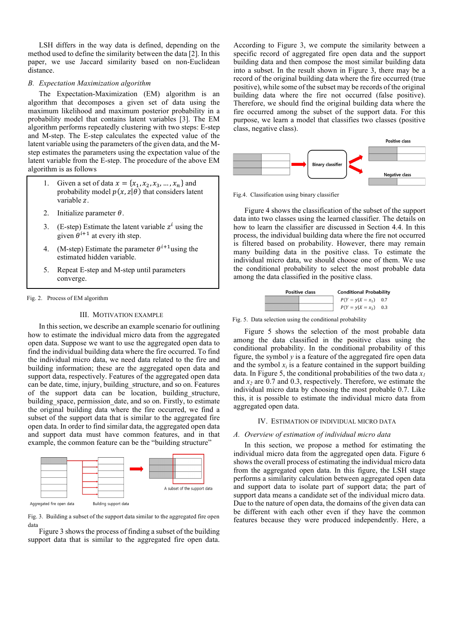LSH differs in the way data is defined, depending on the method used to define the similarity between the data [2]. In this paper, we use Jaccard similarity based on non-Euclidean distance.

#### *B. Expectation Maximization algorithm*

The Expectation-Maximization (EM) algorithm is an algorithm that decomposes a given set of data using the maximum likelihood and maximum posterior probability in a probability model that contains latent variables [3]. The EM algorithm performs repeatedly clustering with two steps: E-step and M-step. The E-step calculates the expected value of the latent variable using the parameters of the given data, and the Mstep estimates the parameters using the expectation value of the latent variable from the E-step. The procedure of the above EM algorithm is as follows

- 1. Given a set of data  $x = \{x_1, x_2, x_3, ..., x_n\}$  and probability model  $p(x, z | \theta)$  that considers latent variable z.
- 2. Initialize parameter  $\theta$ .
- 3. (E-step) Estimate the latent variable  $z^i$  using the given  $\theta^{i+1}$  at every ith step.
- 4. (M-step) Estimate the parameter  $\theta^{i+1}$  using the estimated hidden variable.
- 5. Repeat E-step and M-step until parameters converge.

Fig. 2. Process of EM algorithm

#### III. MOTIVATION EXAMPLE

In this section, we describe an example scenario for outlining how to estimate the individual micro data from the aggregated open data. Suppose we want to use the aggregated open data to find the individual building data where the fire occurred. To find the individual micro data, we need data related to the fire and building information; these are the aggregated open data and support data, respectively. Features of the aggregated open data can be date, time, injury, building\_structure, and so on. Features of the support data can be location, building\_structure, building space, permission date, and so on. Firstly, to estimate the original building data where the fire occurred, we find a subset of the support data that is similar to the aggregated fire open data. In order to find similar data, the aggregated open data and support data must have common features, and in that example, the common feature can be the "building structure"



Fig. 3. Building a subset of the support data similar to the aggregated fire open data

Figure 3 shows the process of finding a subset of the building support data that is similar to the aggregated fire open data.

According to Figure 3, we compute the similarity between a specific record of aggregated fire open data and the support building data and then compose the most similar building data into a subset. In the result shown in Figure 3, there may be a record of the original building data where the fire occurred (true positive), while some of the subset may be records of the original building data where the fire not occurred (false positive). Therefore, we should find the original building data where the fire occurred among the subset of the support data. For this purpose, we learn a model that classifies two classes (positive class, negative class).



Fig.4. Classification using binary classifier

Figure 4 shows the classification of the subset of the support data into two classes using the learned classifier. The details on how to learn the classifier are discussed in Section 4.4. In this process, the individual building data where the fire not occurred is filtered based on probability. However, there may remain many building data in the positive class. To estimate the individual micro data, we should choose one of them. We use the conditional probability to select the most probable data among the data classified in the positive class.



Fig. 5. Data selection using the conditional probability

Figure 5 shows the selection of the most probable data among the data classified in the positive class using the conditional probability. In the conditional probability of this figure, the symbol  $\nu$  is a feature of the aggregated fire open data and the symbol  $x_i$  is a feature contained in the support building data. In Figure 5, the conditional probabilities of the two data *x1* and  $x_2$  are 0.7 and 0.3, respectively. Therefore, we estimate the individual micro data by choosing the most probable 0.7. Like this, it is possible to estimate the individual micro data from aggregated open data.

# IV. ESTIMATION OF INDIVIDUAL MICRO DATA

#### *A. Overview of estimation of individual micro data*

In this section, we propose a method for estimating the individual micro data from the aggregated open data. Figure 6 shows the overall process of estimating the individual micro data from the aggregated open data. In this figure, the LSH stage performs a similarity calculation between aggregated open data and support data to isolate part of support data; the part of support data means a candidate set of the individual micro data. Due to the nature of open data, the domains of the given data can be different with each other even if they have the common features because they were produced independently. Here, a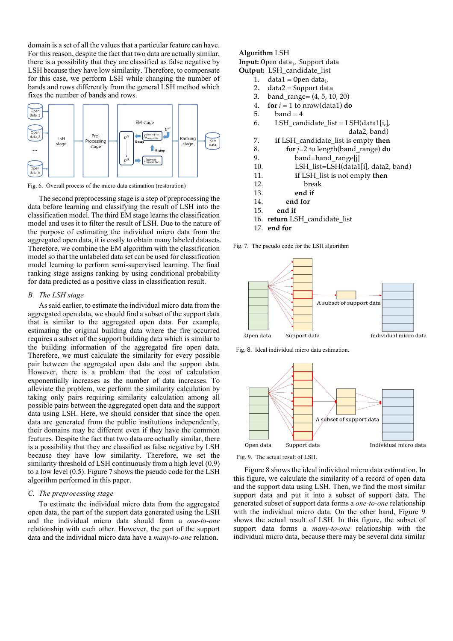domain is a set of all the values that a particular feature can have. For this reason, despite the fact that two data are actually similar, there is a possibility that they are classified as false negative by LSH because they have low similarity. Therefore, to compensate for this case, we perform LSH while changing the number of bands and rows differently from the general LSH method which fixes the number of bands and rows.



Fig. 6. Overall process of the micro data estimation (restoration)

The second preprocessing stage is a step of preprocessing the data before learning and classifying the result of LSH into the classification model. The third EM stage learns the classification model and uses it to filter the result of LSH. Due to the nature of the purpose of estimating the individual micro data from the aggregated open data, it is costly to obtain many labeled datasets. Therefore, we combine the EM algorithm with the classification model so that the unlabeled data set can be used for classification model learning to perform semi-supervised learning. The final ranking stage assigns ranking by using conditional probability for data predicted as a positive class in classification result.

#### *B. The LSH stage*

As said earlier, to estimate the individual micro data from the aggregated open data, we should find a subset of the support data that is similar to the aggregated open data. For example, estimating the original building data where the fire occurred requires a subset of the support building data which is similar to the building information of the aggregated fire open data. Therefore, we must calculate the similarity for every possible pair between the aggregated open data and the support data. However, there is a problem that the cost of calculation exponentially increases as the number of data increases. To alleviate the problem, we perform the similarity calculation by taking only pairs requiring similarity calculation among all possible pairs between the aggregated open data and the support data using LSH. Here, we should consider that since the open data are generated from the public institutions independently, their domains may be different even if they have the common features. Despite the fact that two data are actually similar, there is a possibility that they are classified as false negative by LSH because they have low similarity. Therefore, we set the similarity threshold of LSH continuously from a high level (0.9) to a low level (0.5). Figure 7 shows the pseudo code for the LSH algorithm performed in this paper.

## *C. The preprocessing stage*

To estimate the individual micro data from the aggregated open data, the part of the support data generated using the LSH and the individual micro data should form a *one-to-one* relationship with each other. However, the part of the support data and the individual micro data have a *many-to-one* relation.

# **Algorithm** LSH

**Input:** Open data<sub>i</sub>, Support data

- **Output:** LSH\_candidate\_list
	- 1. data1 = Open data<sub>i</sub>,<br>2. data2 = Support dat
	- $data2 = Support data$
	- 3. band\_range= (4, 5, 10, 20) 4. **for**  $i = 1$  to nrow(data1) **do**
	-
	- 5. band  $= 4$
	- 6. LSH\_candidate\_list =  $LSH(data1[i,],$ 
		- data2, band)
	- 7. **if** LSH\_candidate\_list is empty **then**
	- 8. **for** *j*=2 to length(band\_range) **do**
	- 9. band=band range[j]
	- 10. LSH\_list=LSH(data1[i], data2, band)
	- 11. **if** LSH\_list is not empty **then**
	- 12. break
	- 13. **end if**
	- 14. **end for**
	- 15. **end if**
	- 16. **return** LSH\_candidate\_list
	- 17. **end for**

Fig. 7. The pseudo code for the LSH algorithm



Fig. 8. Ideal individual micro data estimation.



Fig. 9. The actual result of LSH.

Figure 8 shows the ideal individual micro data estimation. In this figure, we calculate the similarity of a record of open data and the support data using LSH. Then, we find the most similar support data and put it into a subset of support data. The generated subset of support data forms a *one-to-one* relationship with the individual micro data. On the other hand, Figure 9 shows the actual result of LSH. In this figure, the subset of support data forms a *many-to-one* relationship with the individual micro data, because there may be several data similar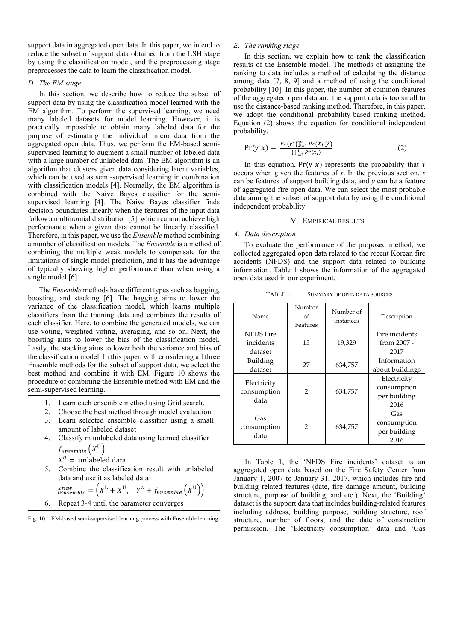support data in aggregated open data. In this paper, we intend to reduce the subset of support data obtained from the LSH stage by using the classification model, and the preprocessing stage preprocesses the data to learn the classification model.

#### *D. The EM stage*

In this section, we describe how to reduce the subset of support data by using the classification model learned with the EM algorithm. To perform the supervised learning, we need many labeled datasets for model learning. However, it is practically impossible to obtain many labeled data for the purpose of estimating the individual micro data from the aggregated open data. Thus, we perform the EM-based semisupervised learning to augment a small number of labeled data with a large number of unlabeled data. The EM algorithm is an algorithm that clusters given data considering latent variables, which can be used as semi-supervised learning in combination with classification models [4]. Normally, the EM algorithm is combined with the Naive Bayes classifier for the semisupervised learning [4]. The Naive Bayes classifier finds decision boundaries linearly when the features of the input data follow a multinomial distribution [5], which cannot achieve high performance when a given data cannot be linearly classified. Therefore, in this paper, we use the *Ensemble* method combining a number of classification models. The *Ensemble* is a method of combining the multiple weak models to compensate for the limitations of single model prediction, and it has the advantage of typically showing higher performance than when using a single model [6].

The *Ensemble* methods have different types such as bagging, boosting, and stacking [6]. The bagging aims to lower the variance of the classification model, which learns multiple classifiers from the training data and combines the results of each classifier. Here, to combine the generated models, we can use voting, weighted voting, averaging, and so on. Next, the boosting aims to lower the bias of the classification model. Lastly, the stacking aims to lower both the variance and bias of the classification model. In this paper, with considering all three Ensemble methods for the subset of support data, we select the best method and combine it with EM. Figure 10 shows the procedure of combining the Ensemble method with EM and the semi-supervised learning.

- 1. Learn each ensemble method using Grid search.
- 2. Choose the best method through model evaluation.
- 3. Learn selected ensemble classifier using a small amount of labeled dataset
- 4. Classify m unlabeled data using learned classifier  $f_{Ensemble}(X^U)$

 $X^U$  = unlabeled data

5. Combine the classification result with unlabeled data and use it as labeled data

$$
f_{Ensemble}^{new} = \left(X^{L} + X^{U}, Y^{L} + f_{Ensemble}\left(X^{U}\right)\right)
$$

6. Repeat 3-4 until the parameter converges

Fig. 10. EM-based semi-supervised learning process with Ensemble learning

# *E. The ranking stage*

In this section, we explain how to rank the classification results of the Ensemble model. The methods of assigning the ranking to data includes a method of calculating the distance among data [7, 8, 9] and a method of using the conditional probability [10]. In this paper, the number of common features of the aggregated open data and the support data is too small to use the distance-based ranking method. Therefore, in this paper, we adopt the conditional probability-based ranking method. Equation (2) shows the equation for conditional independent probability.

$$
Pr(y|x) = \frac{Pr(y)\prod_{i=1}^{n}Pr(x_i|y)}{\prod_{i=1}^{n}Pr(x_i)}
$$
(2)

In this equation,  $Pr(y|x)$  represents the probability that *y* occurs when given the features of *x*. In the previous section, *x* can be features of support building data, and *y* can be a feature of aggregated fire open data. We can select the most probable data among the subset of support data by using the conditional independent probability.

## V. EMPIRICAL RESULTS

#### *A. Data description*

To evaluate the performance of the proposed method, we collected aggregated open data related to the recent Korean fire accidents (NFDS) and the support data related to building information. Table 1 shows the information of the aggregated open data used in our experiment.

TABLE I. SUMMARY OF OPEN DATA SOURCES

| Name                                     | Number<br>οf<br>Features | Number of<br>instances | Description                                        |
|------------------------------------------|--------------------------|------------------------|----------------------------------------------------|
| <b>NFDS</b> Fire<br>incidents<br>dataset | 15                       | 19,329                 | Fire incidents<br>from 2007 -<br>2017              |
| Building<br>dataset                      | 27                       | 634,757                | Information<br>about buildings                     |
| Electricity<br>consumption<br>data       | 2                        | 634,757                | Electricity<br>consumption<br>per building<br>2016 |
| Gas<br>consumption<br>data               | 2                        | 634,757                | Gas<br>consumption<br>per building<br>2016         |

In Table 1, the 'NFDS Fire incidents' dataset is an aggregated open data based on the Fire Safety Center from January 1, 2007 to January 31, 2017, which includes fire and building related features (date, fire damage amount, building structure, purpose of building, and etc.). Next, the 'Building' dataset is the support data that includes building-related features including address, building purpose, building structure, roof structure, number of floors, and the date of construction permission. The 'Electricity consumption' data and 'Gas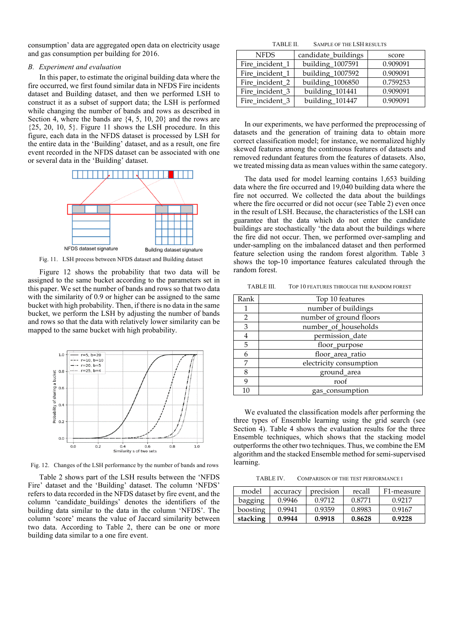consumption' data are aggregated open data on electricity usage and gas consumption per building for 2016.

#### *B. Experiment and evaluation*

In this paper, to estimate the original building data where the fire occurred, we first found similar data in NFDS Fire incidents dataset and Building dataset, and then we performed LSH to construct it as a subset of support data; the LSH is performed while changing the number of bands and rows as described in Section 4, where the bands are  $\{4, 5, 10, 20\}$  and the rows are  $\{25, 20, 10, 5\}$ . Figure 11 shows the LSH procedure. In this figure, each data in the NFDS dataset is processed by LSH for the entire data in the 'Building' dataset, and as a result, one fire event recorded in the NFDS dataset can be associated with one or several data in the 'Building' dataset.



Fig. 11. LSH process between NFDS dataset and Building dataset

Figure 12 shows the probability that two data will be assigned to the same bucket according to the parameters set in this paper. We set the number of bands and rows so that two data with the similarity of 0.9 or higher can be assigned to the same bucket with high probability. Then, if there is no data in the same bucket, we perform the LSH by adjusting the number of bands and rows so that the data with relatively lower similarity can be mapped to the same bucket with high probability.



Fig. 12. Changes of the LSH performance by the number of bands and rows

Table 2 shows part of the LSH results between the 'NFDS Fire' dataset and the 'Building' dataset. The column 'NFDS' refers to data recorded in the NFDS dataset by fire event, and the column 'candidate\_buildings' denotes the identifiers of the building data similar to the data in the column 'NFDS'. The column 'score' means the value of Jaccard similarity between two data. According to Table 2, there can be one or more building data similar to a one fire event.

TABLE II. SAMPLE OF THE LSH RESULTS

| <b>NFDS</b>     | candidate_buildings | score    |  |
|-----------------|---------------------|----------|--|
| Fire_incident_1 | building_1007591    | 0.909091 |  |
| Fire_incident_1 | building_1007592    | 0.909091 |  |
| Fire_incident_2 | building_1006850    | 0.759253 |  |
| Fire incident 3 | building_101441     | 0.909091 |  |
| Fire incident 3 | building_101447     | 0.909091 |  |

In our experiments, we have performed the preprocessing of datasets and the generation of training data to obtain more correct classification model; for instance, we normalized highly skewed features among the continuous features of datasets and removed redundant features from the features of datasets. Also, we treated missing data as mean values within the same category.

The data used for model learning contains 1,653 building data where the fire occurred and 19,040 building data where the fire not occurred. We collected the data about the buildings where the fire occurred or did not occur (see Table 2) even once in the result of LSH. Because, the characteristics of the LSH can guarantee that the data which do not enter the candidate buildings are stochastically 'the data about the buildings where the fire did not occur. Then, we performed over-sampling and under-sampling on the imbalanced dataset and then performed feature selection using the random forest algorithm. Table 3 shows the top-10 importance features calculated through the random forest.

TABLE III. TOP 10 FEATURES THROUGH THE RANDOM FOREST

| Rank | Top 10 features         |
|------|-------------------------|
|      | number of buildings     |
| 2    | number of ground floors |
| 3    | number_of_households    |
| 4    | permission_date         |
| 5    | floor_purpose           |
| 6    | floor_area_ratio        |
| 7    | electricity consumption |
| 8    | ground_area             |
| q    | roof                    |
| 10   | gas_consumption         |

We evaluated the classification models after performing the three types of Ensemble learning using the grid search (see Section 4). Table 4 shows the evaluation results for the three Ensemble techniques, which shows that the stacking model outperforms the other two techniques. Thus, we combine the EM algorithm and the stacked Ensemble method for semi-supervised learning.

TABLE IV. COMPARISON OF THE TEST PERFORMANCE I

| model    | accuracy | precision | recall | F1-measure |
|----------|----------|-----------|--------|------------|
| bagging  | 0.9946   | 0.9712    | 0.8771 | 0.9217     |
| boosting | 0.9941   | 0.9359    | 0.8983 | 0.9167     |
| stacking | 0.9944   | 0.9918    | 0.8628 | 0.9228     |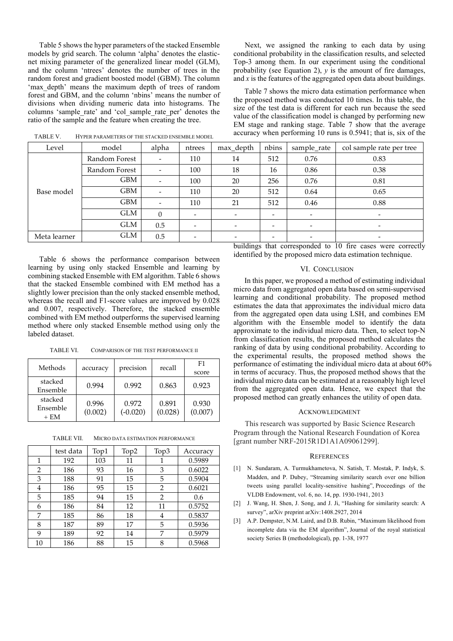Table 5 shows the hyper parameters of the stacked Ensemble models by grid search. The column 'alpha' denotes the elasticnet mixing parameter of the generalized linear model (GLM), and the column 'ntrees' denotes the number of trees in the random forest and gradient boosted model (GBM). The column 'max\_depth' means the maximum depth of trees of random forest and GBM, and the column 'nbins' means the number of divisions when dividing numeric data into histograms. The columns 'sample\_rate' and 'col\_sample\_rate\_per' denotes the ratio of the sample and the feature when creating the tree.

Next, we assigned the ranking to each data by using conditional probability in the classification results, and selected Top-3 among them. In our experiment using the conditional probability (see Equation 2),  $\nu$  is the amount of fire damages, and *x* is the features of the aggregated open data about buildings.

Table 7 shows the micro data estimation performance when the proposed method was conducted 10 times. In this table, the size of the test data is different for each run because the seed value of the classification model is changed by performing new EM stage and ranking stage. Table 7 show that the average accuracy when performing 10 runs is 0.5941; that is, six of the

| Level        | model         | alpha    | ntrees                   | max_depth                | nbins                    | sample_rate              | col sample rate per tree |
|--------------|---------------|----------|--------------------------|--------------------------|--------------------------|--------------------------|--------------------------|
|              | Random Forest | -        | 110                      | 14                       | 512                      | 0.76                     | 0.83                     |
|              | Random Forest |          | 100                      | 18                       | 16                       | 0.86                     | 0.38                     |
|              | GBM           |          | 100                      | 20                       | 256                      | 0.76                     | 0.81                     |
| Base model   | <b>GBM</b>    | -        | 110                      | 20                       | 512                      | 0.64                     | 0.65                     |
|              | <b>GBM</b>    |          | 110                      | 21                       | 512                      | 0.46                     | 0.88                     |
|              | <b>GLM</b>    | $\Omega$ | $\overline{\phantom{a}}$ |                          |                          | -                        |                          |
|              | <b>GLM</b>    | 0.5      | $\overline{\phantom{0}}$ | $\overline{\phantom{0}}$ | $\overline{\phantom{a}}$ | $\overline{\phantom{a}}$ | $\overline{\phantom{a}}$ |
| Meta learner | <b>GLM</b>    | 0.5      | $\overline{\phantom{0}}$ |                          | $\overline{\phantom{a}}$ | -                        | $\overline{\phantom{a}}$ |

TABLE V. HYPER PARAMETERS OF THE STACKED ENSEMBLE MODEL

Table 6 shows the performance comparison between learning by using only stacked Ensemble and learning by combining stacked Ensemble with EM algorithm. Table 6 shows that the stacked Ensemble combined with EM method has a slightly lower precision than the only stacked ensemble method, whereas the recall and F1-score values are improved by 0.028 and 0.007, respectively. Therefore, the stacked ensemble combined with EM method outperforms the supervised learning method where only stacked Ensemble method using only the labeled dataset.

TABLE VI. COMPARISON OF THE TEST PERFORMANCE II

| Methods                       | accuracy         | precision           | recall           | F1<br>score      |
|-------------------------------|------------------|---------------------|------------------|------------------|
| stacked<br>Ensemble           | 0.994            | 0.992               | 0.863            | 0.923            |
| stacked<br>Ensemble<br>$+ EM$ | 0.996<br>(0.002) | 0.972<br>$(-0.020)$ | 0.891<br>(0.028) | 0.930<br>(0.007) |

TABLE VII. MICRO DATA ESTIMATION PERFORMANCE

|    | test data | Top1 | Top2 | Top3           | Accuracy |
|----|-----------|------|------|----------------|----------|
| 1  | 192       | 103  | 11   |                | 0.5989   |
| 2  | 186       | 93   | 16   | 3              | 0.6022   |
| 3  | 188       | 91   | 15   | 5              | 0.5904   |
| 4  | 186       | 95   | 15   | 2              | 0.6021   |
| 5  | 185       | 94   | 15   | $\overline{2}$ | 0.6      |
| 6  | 186       | 84   | 12   | 11             | 0.5752   |
| 7  | 185       | 86   | 18   | 4              | 0.5837   |
| 8  | 187       | 89   | 17   | 5              | 0.5936   |
| 9  | 189       | 92   | 14   | 7              | 0.5979   |
| 10 | 186       | 88   | 15   | 8              | 0.5968   |

buildings that corresponded to 10 fire cases were correctly identified by the proposed micro data estimation technique.

#### VI. CONCLUSION

In this paper, we proposed a method of estimating individual micro data from aggregated open data based on semi-supervised learning and conditional probability. The proposed method estimates the data that approximates the individual micro data from the aggregated open data using LSH, and combines EM algorithm with the Ensemble model to identify the data approximate to the individual micro data. Then, to select top-N from classification results, the proposed method calculates the ranking of data by using conditional probability. According to the experimental results, the proposed method shows the performance of estimating the individual micro data at about 60% in terms of accuracy. Thus, the proposed method shows that the individual micro data can be estimated at a reasonably high level from the aggregated open data. Hence, we expect that the proposed method can greatly enhances the utility of open data.

#### ACKNOWLEDGMENT

 This research was supported by Basic Science Research Program through the National Research Foundation of Korea [grant number NRF-2015R1D1A1A09061299].

#### **REFERENCES**

- [1] N. Sundaram, A. Turmukhametova, N. Satish, T. Mostak, P. Indyk, S. Madden, and P. Dubey, "Streaming similarity search over one billion tweets using parallel locality-sensitive hashing", Proceedings of the VLDB Endowment, vol. 6, no. 14, pp. 1930-1941, 2013
- [2] J. Wang, H. Shen, J. Song, and J. Ji, "Hashing for similarity search: A survey", arXiv preprint arXiv:1408.2927, 2014
- [3] A.P. Dempster, N.M. Laird, and D.B. Rubin, "Maximum likelihood from incomplete data via the EM algorithm", Journal of the royal statistical society Series B (methodological), pp. 1-38, 1977